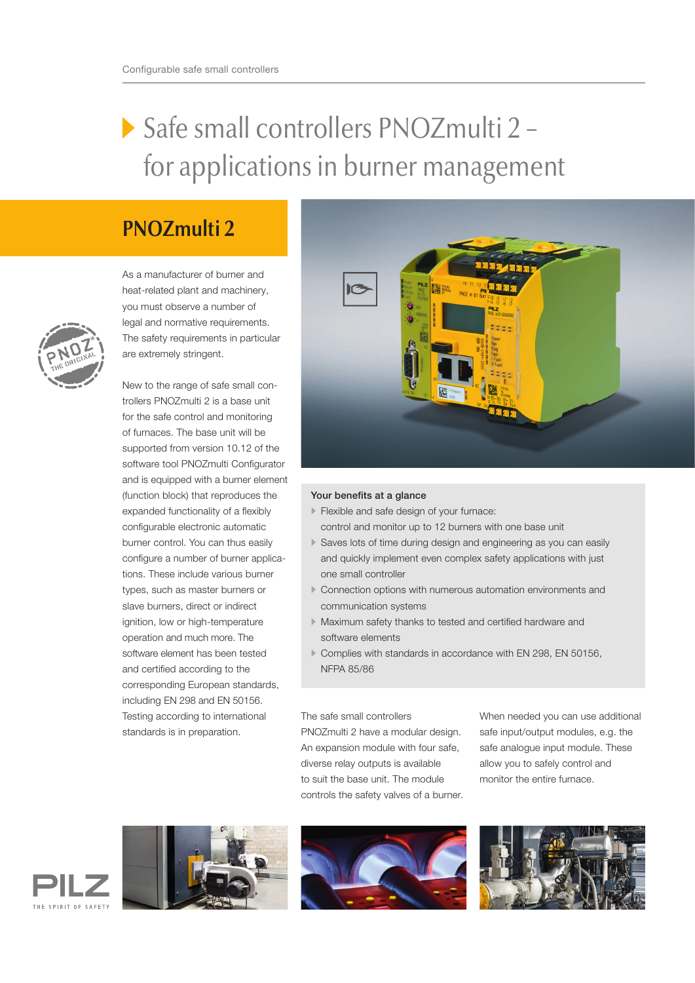## Safe small controllers PNOZmulti 2 – for applications in burner management

## **PNOZmulti 2**

As a manufacturer of burner and heat-related plant and machinery, you must observe a number of legal and normative requirements. The safety requirements in particular are extremely stringent.

New to the range of safe small controllers PNOZmulti 2 is a base unit for the safe control and monitoring of furnaces. The base unit will be supported from version 10.12 of the software tool PNOZmulti Configurator and is equipped with a burner element (function block) that reproduces the expanded functionality of a flexibly configurable electronic automatic burner control. You can thus easily configure a number of burner applications. These include various burner types, such as master burners or slave burners, direct or indirect ignition, low or high-temperature operation and much more. The software element has been tested and certified according to the corresponding European standards, including EN 298 and EN 50156. Testing according to international standards is in preparation.



## Your benefits at a glance

- Flexible and safe design of your furnace: control and monitor up to 12 burners with one base unit
- Saves lots of time during design and engineering as you can easily and quickly implement even complex safety applications with just one small controller
- Connection options with numerous automation environments and communication systems
- Maximum safety thanks to tested and certified hardware and software elements
- Complies with standards in accordance with EN 298, EN 50156, NFPA 85/86

The safe small controllers PNOZmulti 2 have a modular design. An expansion module with four safe, diverse relay outputs is available

to suit the base unit. The module controls the safety valves of a burner. When needed you can use additional safe input/output modules, e.g. the safe analogue input module. These allow you to safely control and monitor the entire furnace.